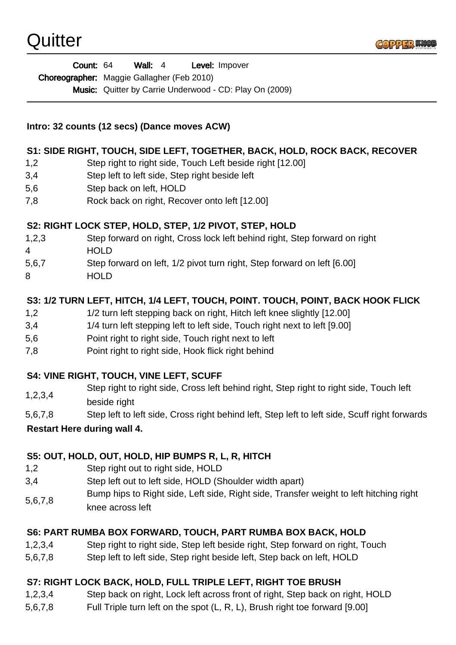| Count: 64                                         | Wall: $4$ |  | <b>Level:</b> Impover                                          |  |
|---------------------------------------------------|-----------|--|----------------------------------------------------------------|--|
| <b>Choreographer:</b> Maggie Gallagher (Feb 2010) |           |  |                                                                |  |
|                                                   |           |  | <b>Music:</b> Quitter by Carrie Underwood - CD: Play On (2009) |  |

**Intro: 32 counts (12 secs) (Dance moves ACW)**

#### **S1: SIDE RIGHT, TOUCH, SIDE LEFT, TOGETHER, BACK, HOLD, ROCK BACK, RECOVER**

- 1,2 Step right to right side, Touch Left beside right [12.00]
- 3,4 Step left to left side, Step right beside left
- 5,6 Step back on left, HOLD
- 7,8 Rock back on right, Recover onto left [12.00]

#### **S2: RIGHT LOCK STEP, HOLD, STEP, 1/2 PIVOT, STEP, HOLD**

- 1,2,3 Step forward on right, Cross lock left behind right, Step forward on right
- 4 HOLD
- 5,6,7 Step forward on left, 1/2 pivot turn right, Step forward on left [6.00]
- 8 HOLD

## **S3: 1/2 TURN LEFT, HITCH, 1/4 LEFT, TOUCH, POINT. TOUCH, POINT, BACK HOOK FLICK**

- 1,2 1/2 turn left stepping back on right, Hitch left knee slightly [12.00]
- 3,4 1/4 turn left stepping left to left side, Touch right next to left [9.00]
- 5,6 Point right to right side, Touch right next to left
- 7,8 Point right to right side, Hook flick right behind

## **S4: VINE RIGHT, TOUCH, VINE LEFT, SCUFF**

- 1,2,3,4 Step right to right side, Cross left behind right, Step right to right side, Touch left beside right
- 5,6,7,8 Step left to left side, Cross right behind left, Step left to left side, Scuff right forwards

## **Restart Here during wall 4.**

## **S5: OUT, HOLD, OUT, HOLD, HIP BUMPS R, L, R, HITCH**

- 1,2 Step right out to right side, HOLD
- 3,4 Step left out to left side, HOLD (Shoulder width apart)
- 5,6,7,8 Bump hips to Right side, Left side, Right side, Transfer weight to left hitching right knee across left

## **S6: PART RUMBA BOX FORWARD, TOUCH, PART RUMBA BOX BACK, HOLD**

- 1,2,3,4 Step right to right side, Step left beside right, Step forward on right, Touch
- 5,6,7,8 Step left to left side, Step right beside left, Step back on left, HOLD

## **S7: RIGHT LOCK BACK, HOLD, FULL TRIPLE LEFT, RIGHT TOE BRUSH**

- 1,2,3,4 Step back on right, Lock left across front of right, Step back on right, HOLD
- 5,6,7,8 Full Triple turn left on the spot (L, R, L), Brush right toe forward [9.00]